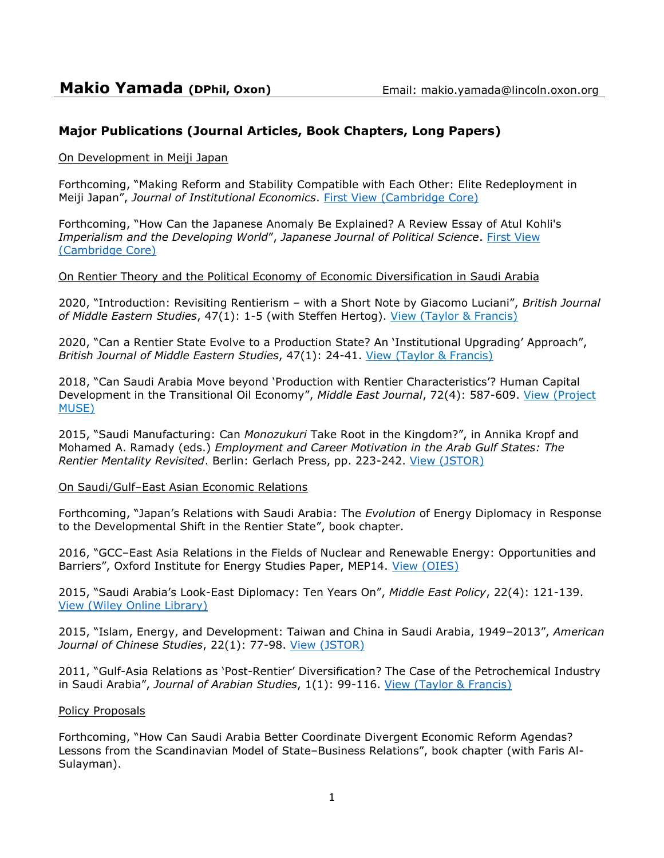# **Major Publications (Journal Articles, Book Chapters, Long Papers)**

On Development in Meiji Japan

Forthcoming, "Making Reform and Stability Compatible with Each Other: Elite Redeployment in Meiji Japan", *Journal of Institutional Economics*. First View [\(Cambridge Core\)](https://www.cambridge.org/core/journals/journal-of-institutional-economics/article/making-reform-and-stability-compatible-with-each-other-elite-redeployment-in-meiji-japan/B9B4F58D9CE60204725E1B792AB36247?fbclid=IwAR0yZzAJ7tNcBBN9IqcPYSpFsaHbeNkHGYTm21mxtkfFFALazai8EVIh-DY)

Forthcoming, "How Can the Japanese Anomaly Be Explained? A Review Essay of Atul Kohli's *Imperialism and the Developing World*", *Japanese Journal of Political Science*. [First View](https://www.cambridge.org/core/journals/japanese-journal-of-political-science/article/how-can-the-japanese-anomaly-be-explained-a-review-essay-of-atul-kohlis-imperialism-and-the-developing-world-atul-kohli-imperialism-and-the-developing-world-how-britain-and-the-united-states-shaped-the-global-periphery-oxford-oxford-university-press-2020/09A3A390C45FA6C88A6143812D33A24A) [\(Cambridge Core\)](https://www.cambridge.org/core/journals/japanese-journal-of-political-science/article/how-can-the-japanese-anomaly-be-explained-a-review-essay-of-atul-kohlis-imperialism-and-the-developing-world-atul-kohli-imperialism-and-the-developing-world-how-britain-and-the-united-states-shaped-the-global-periphery-oxford-oxford-university-press-2020/09A3A390C45FA6C88A6143812D33A24A)

#### On Rentier Theory and the Political Economy of Economic Diversification in Saudi Arabia

2020, "Introduction: Revisiting Rentierism – with a Short Note by Giacomo Luciani", *British Journal of Middle Eastern Studies*, 47(1): 1-5 (with Steffen Hertog). [View \(Taylor & Francis\)](https://www.tandfonline.com/doi/full/10.1080/13530194.2020.1714267)

2020, "Can a Rentier State Evolve to a Production State? An 'Institutional Upgrading' Approach", *British Journal of Middle Eastern Studies*, 47(1): 24-41. [View \(Taylor & Francis\)](https://www.tandfonline.com/doi/full/10.1080/13530194.2020.1714867)

2018, "Can Saudi Arabia Move beyond 'Production with Rentier Characteristics'? Human Capital Development in the Transitional Oil Economy", Middle East Journal, 72(4): 587-609. View (Project [MUSE\)](https://muse.jhu.edu/article/710917)

2015, "Saudi Manufacturing: Can *Monozukuri* Take Root in the Kingdom?", in Annika Kropf and Mohamed A. Ramady (eds.) *Employment and Career Motivation in the Arab Gulf States: The Rentier Mentality Revisited*. Berlin: Gerlach Press, pp. 223-242. [View \(JSTOR\)](https://www.jstor.org/stable/j.ctt1df4h6b.12?seq=1#page_scan_tab_contents)

#### On Saudi/Gulf–East Asian Economic Relations

Forthcoming, "Japan's Relations with Saudi Arabia: The *Evolution* of Energy Diplomacy in Response to the Developmental Shift in the Rentier State", book chapter.

2016, "GCC–East Asia Relations in the Fields of Nuclear and Renewable Energy: Opportunities and Barriers", Oxford Institute for Energy Studies Paper, MEP14. [View \(OIES\)](https://www.oxfordenergy.org/publications/asia-relations-fields-nuclear-renewable-energy-opportunities-barriers/)

2015, "Saudi Arabia's Look-East Diplomacy: Ten Years On", *Middle East Policy*, 22(4): 121-139. [View \(Wiley Online Library\)](https://onlinelibrary.wiley.com/doi/abs/10.1111/MEPO.12163)

2015, "Islam, Energy, and Development: Taiwan and China in Saudi Arabia, 1949–2013", *American Journal of Chinese Studies*, 22(1): 77-98. [View \(JSTOR\)](http://www.jstor.org/stable/44289075?seq=1#page_scan_tab_contents)

2011, "Gulf-Asia Relations as 'Post-Rentier' Diversification? The Case of the Petrochemical Industry in Saudi Arabia", *Journal of Arabian Studies*, 1(1): 99-116. [View \(Taylor & Francis\)](http://www.tandfonline.com/doi/full/10.1080/21534764.2011.576054)

#### Policy Proposals

Forthcoming, "How Can Saudi Arabia Better Coordinate Divergent Economic Reform Agendas? Lessons from the Scandinavian Model of State–Business Relations", book chapter (with Faris Al-Sulayman).